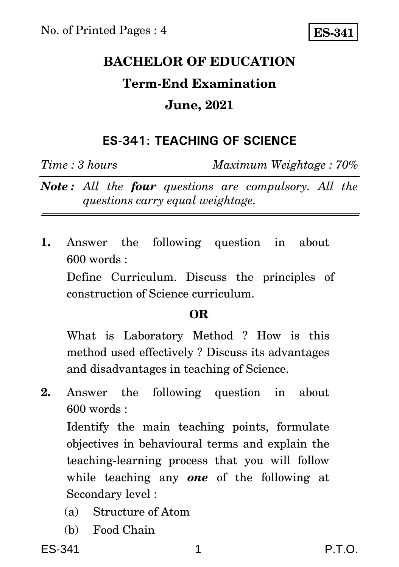## **BACHELOR OF EDUCATION Term-End Examination June, 2021**

### **ES-341: TEACHING OF SCIENCE**

*Time : 3 hours Maximum Weightage : 70%*

*Note : All the four questions are compulsory. All the questions carry equal weightage.*

**1.** Answer the following question in about 600 words :

Define Curriculum. Discuss the principles of construction of Science curriculum.

#### **OR**

What is Laboratory Method ? How is this method used effectively ? Discuss its advantages and disadvantages in teaching of Science.

**2.** Answer the following question in about 600 words :

Identify the main teaching points, formulate objectives in behavioural terms and explain the teaching-learning process that you will follow while teaching any *one* of the following at Secondary level :

- (a) Structure of Atom
- (b) Food Chain

ES-341 1 P.T.O.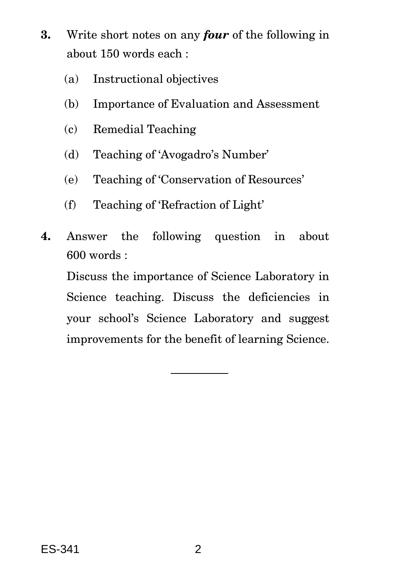- **3.** Write short notes on any *four* of the following in about 150 words each :
	- (a) Instructional objectives
	- (b) Importance of Evaluation and Assessment
	- (c) Remedial Teaching
	- (d) Teaching of 'Avogadro's Number'
	- (e) Teaching of 'Conservation of Resources'
	- (f) Teaching of 'Refraction of Light'
- **4.** Answer the following question in about 600 words :

Discuss the importance of Science Laboratory in Science teaching. Discuss the deficiencies in your school's Science Laboratory and suggest improvements for the benefit of learning Science.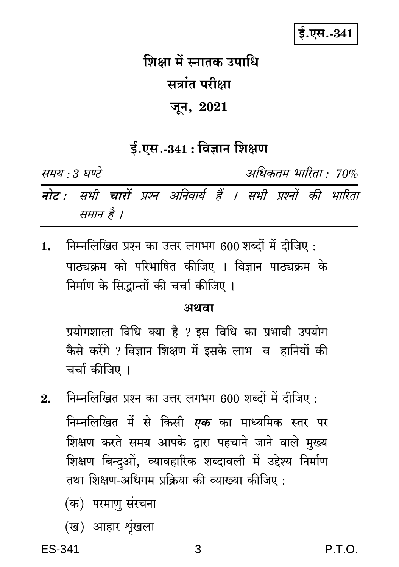## ई.एस.-341

# शिक्षा में स्नातक उपाधि सत्रांत परीक्षा जून, 2021

### $\frac{1}{2}$ .एस.-341 : विज्ञान शिक्षण

समय : 3 घण्टे अधिकतम् भारिता • 70% नोट : सभी चारों प्रश्न अनिवार्य हैं । सभी प्रश्नों की भारिता समान है ।

निम्नलिखित प्रश्न का उत्तर लगभग 600 शब्दों में दीजिए:  $\mathbf{1}$ . पाठ्यक्रम को परिभाषित कीजिए । विज्ञान पाठ्यक्रम के निर्माण के सिद्धान्तों की चर्चा कीजिए ।

#### अथवा

प्रयोगशाला विधि क्या है ? इस विधि का प्रभावी उपयोग कैसे करेंगे ? विज्ञान शिक्षण में इसके लाभ व हानियों की चर्चा कीजिए ।

- निम्नलिखित प्रश्न का उत्तर लगभग 600 शब्दों में दीजिए:  $2.$ निम्नलिखित में से किसी *एक* का माध्यमिक स्तर पर शिक्षण करते समय आपके द्वारा पहचाने जाने वाले मुख्य शिक्षण बिन्दओं, व्यावहारिक शब्दावली में उद्देश्य निर्माण तथा शिक्षण-अधिगम प्रक्रिया की व्याख्या कीजिए :
	- (क) परमाण संरचना
	- (ख) आहार शृंखला